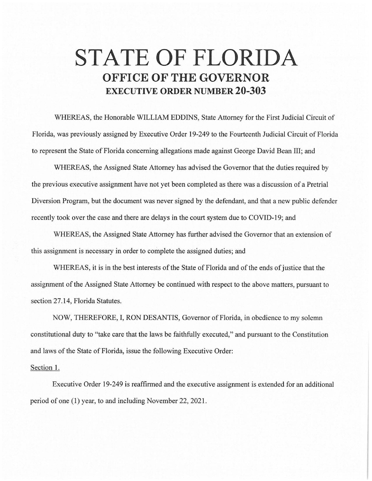## **STATE OF FLORIDA OFFICE OF THE GOVERNOR EXECUTIVE ORDER NUMBER 20-303**

WHEREAS, the Honorable WILLIAM EDDINS, State Attorney for the First Judicial Circuit of Florida, was previously assigned by Executive Order 19-249 to the Fourteenth Judicial Circuit of Florida to represent the State of Florida concerning allegations made against George David Bean III; and

WHEREAS, the Assigned State Attorney has advised the Governor that the duties required by the previous executive assignment have not yet been completed as there was a discussion of a Pretrial Diversion Program, but the document was never signed by the defendant, and that a new public defender recently took over the case and there are delays in the court system due to COVID-19; and

WHEREAS, the Assigned State Attorney has further advised the Governor that an extension of this assignment is necessary in order to complete the assigned duties; and

WHEREAS, it is in the best interests of the State of Florida and of the ends of justice that the assignment of the Assigned State Attorney be continued with respect to the above matters, pursuant to section 27.14, Florida Statutes.

NOW, THEREFORE, I, RON DESANTIS, Governor of Florida, in obedience to my solemn constitutional duty to "take care that the laws be faithfully executed," and pursuant to the Constitution and laws of the State of Florida, issue the following Executive Order:

## Section I.

Executive Order 19-249 is reaffirmed and the executive assignment is extended for an additional period of one (1) year, to and including November 22, 2021.